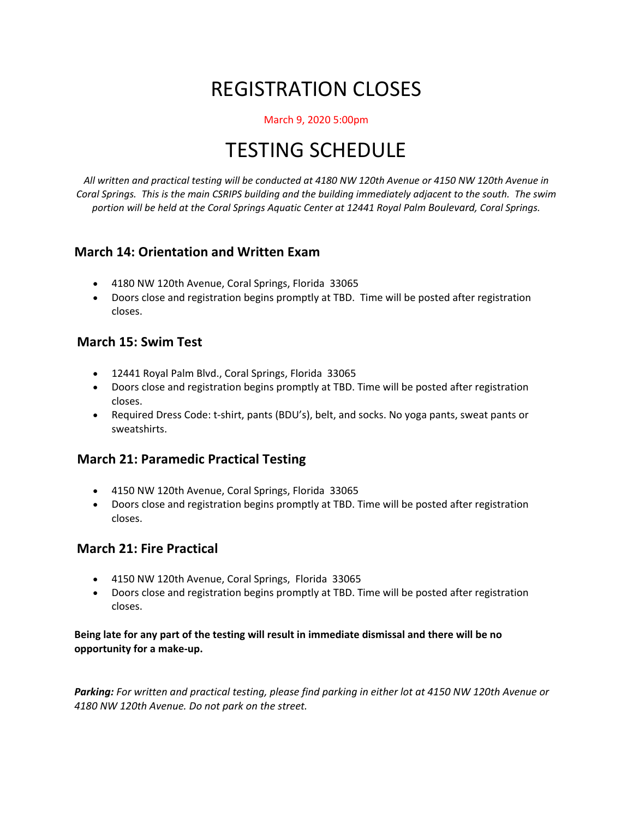# REGISTRATION CLOSES

#### March 9, 2020 5:00pm

## TESTING SCHEDULE

*All written and practical testing will be conducted at 4180 NW 120th Avenue or 4150 NW 120th Avenue in Coral Springs. This is the main CSRIPS building and the building immediately adjacent to the south. The swim portion will be held at the Coral Springs Aquatic Center at 12441 Royal Palm Boulevard, Coral Springs.*

### **March 14: Orientation and Written Exam**

- 4180 NW 120th Avenue, Coral Springs, Florida 33065
- Doors close and registration begins promptly at TBD. Time will be posted after registration closes.

#### **March 15: Swim Test**

- 12441 Royal Palm Blvd., Coral Springs, Florida 33065
- Doors close and registration begins promptly at TBD. Time will be posted after registration closes.
- Required Dress Code: t-shirt, pants (BDU's), belt, and socks. No yoga pants, sweat pants or sweatshirts.

### **March 21: Paramedic Practical Testing**

- 4150 NW 120th Avenue, Coral Springs, Florida 33065
- Doors close and registration begins promptly at TBD. Time will be posted after registration closes.

### **March 21: Fire Practical**

- 4150 NW 120th Avenue, Coral Springs, Florida 33065
- Doors close and registration begins promptly at TBD. Time will be posted after registration closes.

**Being late for any part of the testing will result in immediate dismissal and there will be no opportunity for a make-up.**

*Parking: For written and practical testing, please find parking in either lot at 4150 NW 120th Avenue or 4180 NW 120th Avenue. Do not park on the street.*